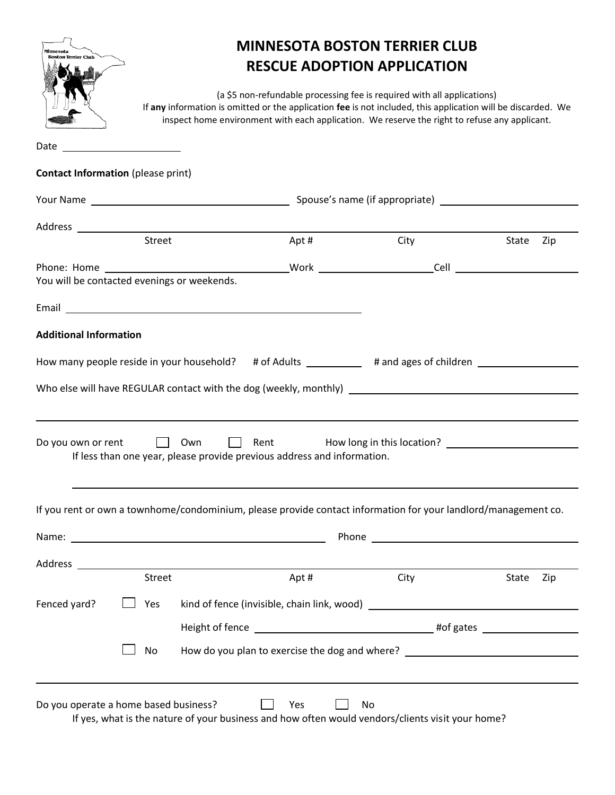| Minnesota<br><b>Boston Terrier Club</b>     |            | <b>MINNESOTA BOSTON TERRIER CLUB</b><br><b>RESCUE ADOPTION APPLICATION</b><br>(a \$5 non-refundable processing fee is required with all applications)<br>If any information is omitted or the application fee is not included, this application will be discarded. We<br>inspect home environment with each application. We reserve the right to refuse any applicant. |      |                                                                                                                |              |
|---------------------------------------------|------------|------------------------------------------------------------------------------------------------------------------------------------------------------------------------------------------------------------------------------------------------------------------------------------------------------------------------------------------------------------------------|------|----------------------------------------------------------------------------------------------------------------|--------------|
|                                             |            |                                                                                                                                                                                                                                                                                                                                                                        |      |                                                                                                                |              |
| <b>Contact Information</b> (please print)   |            |                                                                                                                                                                                                                                                                                                                                                                        |      |                                                                                                                |              |
|                                             |            |                                                                                                                                                                                                                                                                                                                                                                        |      |                                                                                                                |              |
|                                             | Street     |                                                                                                                                                                                                                                                                                                                                                                        | Apt# | City                                                                                                           | State<br>Zip |
| You will be contacted evenings or weekends. |            |                                                                                                                                                                                                                                                                                                                                                                        |      |                                                                                                                |              |
|                                             |            | Email <b>Exercise Contract Contract Contract Contract Contract Contract Contract Contract Contract Contract Contract Contract Contract Contract Contract Contract Contract Contract Contract Contract Contract Contract Contract</b>                                                                                                                                   |      |                                                                                                                |              |
| <b>Additional Information</b>               |            |                                                                                                                                                                                                                                                                                                                                                                        |      |                                                                                                                |              |
|                                             |            |                                                                                                                                                                                                                                                                                                                                                                        |      | How many people reside in your household? # of Adults __________ # and ages of children ___________            |              |
| Do you own or rent                          | <b>Own</b> | $\mathcal{L}^{\text{max}}$<br>If less than one year, please provide previous address and information.                                                                                                                                                                                                                                                                  |      | Rent How long in this location? [19] Ment Manus How long in this location?                                     |              |
|                                             |            |                                                                                                                                                                                                                                                                                                                                                                        |      | If you rent or own a townhome/condominium, please provide contact information for your landlord/management co. |              |
|                                             |            |                                                                                                                                                                                                                                                                                                                                                                        |      |                                                                                                                |              |
|                                             |            | Address and the contract of the contract of the contract of the contract of the contract of the contract of the                                                                                                                                                                                                                                                        |      |                                                                                                                |              |
|                                             | Street     |                                                                                                                                                                                                                                                                                                                                                                        | Apt# | City                                                                                                           | State<br>Zip |
| Fenced yard?                                | Yes        |                                                                                                                                                                                                                                                                                                                                                                        |      |                                                                                                                |              |
|                                             | No         |                                                                                                                                                                                                                                                                                                                                                                        |      | How do you plan to exercise the dog and where? _________________________________                               |              |
| Do you operate a home based business?       |            |                                                                                                                                                                                                                                                                                                                                                                        | Yes  | No                                                                                                             |              |

If yes, what is the nature of your business and how often would vendors/clients visit your home?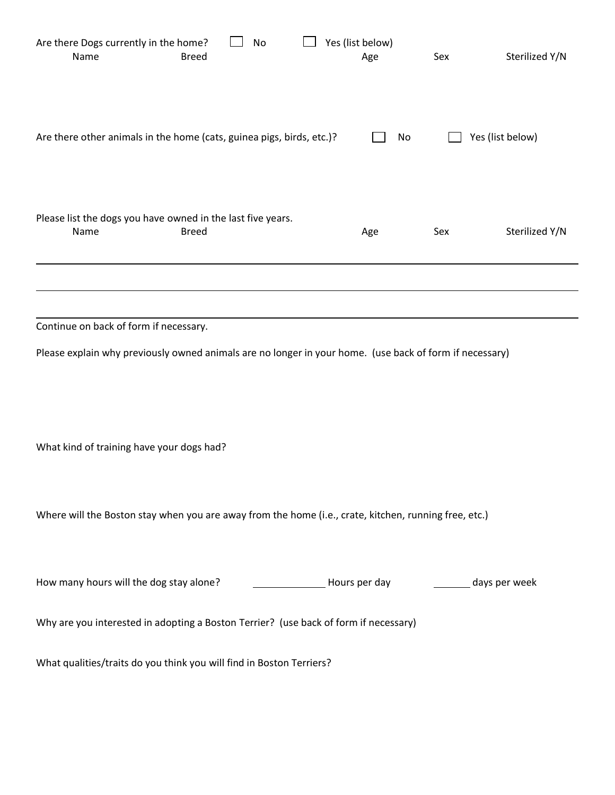| Are there Dogs currently in the home?<br>Name<br><b>Breed</b>                                           | No |  | Yes (list below)<br>Age | Sex                                                          | Sterilized Y/N   |
|---------------------------------------------------------------------------------------------------------|----|--|-------------------------|--------------------------------------------------------------|------------------|
| Are there other animals in the home (cats, guinea pigs, birds, etc.)?                                   |    |  | No                      |                                                              | Yes (list below) |
| Please list the dogs you have owned in the last five years.<br>Name<br><b>Breed</b>                     |    |  | Age                     | Sex                                                          | Sterilized Y/N   |
|                                                                                                         |    |  |                         |                                                              |                  |
|                                                                                                         |    |  |                         |                                                              |                  |
| Continue on back of form if necessary.                                                                  |    |  |                         |                                                              |                  |
| Please explain why previously owned animals are no longer in your home. (use back of form if necessary) |    |  |                         |                                                              |                  |
|                                                                                                         |    |  |                         |                                                              |                  |
|                                                                                                         |    |  |                         |                                                              |                  |
| What kind of training have your dogs had?                                                               |    |  |                         |                                                              |                  |
|                                                                                                         |    |  |                         |                                                              |                  |
|                                                                                                         |    |  |                         |                                                              |                  |
| Where will the Boston stay when you are away from the home (i.e., crate, kitchen, running free, etc.)   |    |  |                         |                                                              |                  |
|                                                                                                         |    |  |                         |                                                              |                  |
| How many hours will the dog stay alone?                                                                 |    |  |                         | Lacker Library Mours per day and an example and ays per week |                  |
| Why are you interested in adopting a Boston Terrier? (use back of form if necessary)                    |    |  |                         |                                                              |                  |
| What qualities/traits do you think you will find in Boston Terriers?                                    |    |  |                         |                                                              |                  |
|                                                                                                         |    |  |                         |                                                              |                  |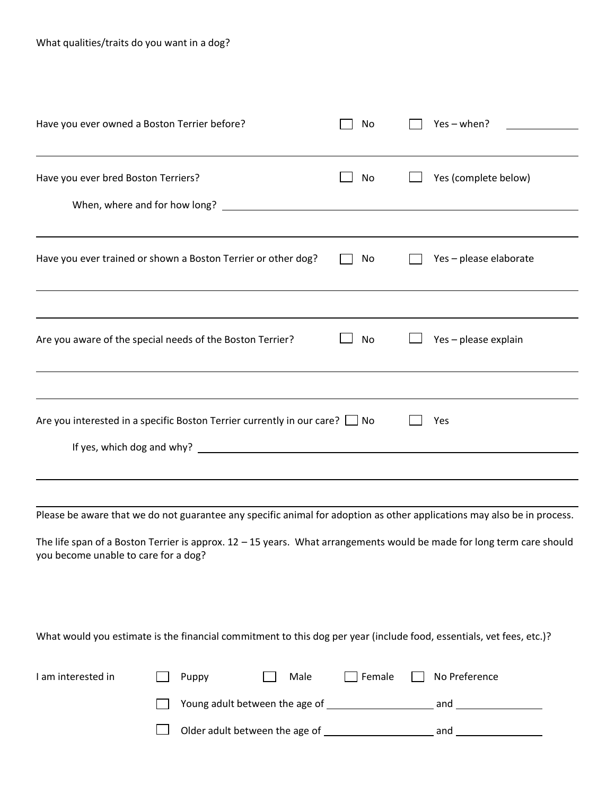| Have you ever owned a Boston Terrier before?                                                                                                                                                                                                                                             | No    | Yes - when?    |               |                        |
|------------------------------------------------------------------------------------------------------------------------------------------------------------------------------------------------------------------------------------------------------------------------------------------|-------|----------------|---------------|------------------------|
| Have you ever bred Boston Terriers?                                                                                                                                                                                                                                                      |       | No             |               | Yes (complete below)   |
| Have you ever trained or shown a Boston Terrier or other dog?                                                                                                                                                                                                                            |       | No             |               | Yes - please elaborate |
| Are you aware of the special needs of the Boston Terrier?                                                                                                                                                                                                                                |       | No             |               | Yes - please explain   |
| Are you interested in a specific Boston Terrier currently in our care? $\Box$ No                                                                                                                                                                                                         |       |                | Yes           |                        |
| Please be aware that we do not guarantee any specific animal for adoption as other applications may also be in process.<br>The life span of a Boston Terrier is approx. 12 - 15 years. What arrangements would be made for long term care should<br>you become unable to care for a dog? |       |                |               |                        |
| What would you estimate is the financial commitment to this dog per year (include food, essentials, vet fees, etc.)?                                                                                                                                                                     |       |                |               |                        |
| I am interested in                                                                                                                                                                                                                                                                       | Puppy | Female<br>Male | No Preference |                        |